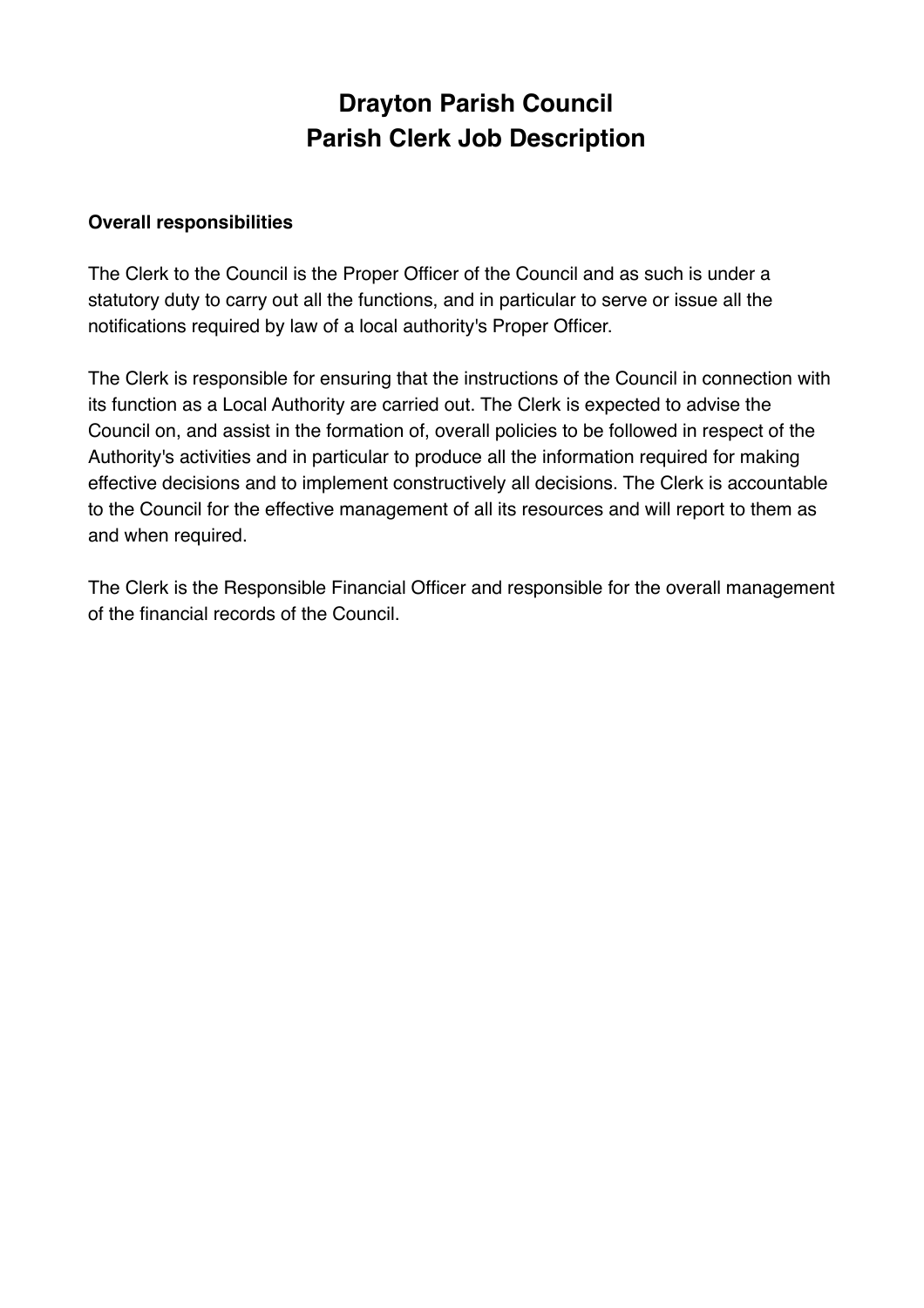## **Drayton Parish Council Parish Clerk Job Description**

## **Overall responsibilities**

The Clerk to the Council is the Proper Officer of the Council and as such is under a statutory duty to carry out all the functions, and in particular to serve or issue all the notifications required by law of a local authority's Proper Officer.

The Clerk is responsible for ensuring that the instructions of the Council in connection with its function as a Local Authority are carried out. The Clerk is expected to advise the Council on, and assist in the formation of, overall policies to be followed in respect of the Authority's activities and in particular to produce all the information required for making effective decisions and to implement constructively all decisions. The Clerk is accountable to the Council for the effective management of all its resources and will report to them as and when required.

The Clerk is the Responsible Financial Officer and responsible for the overall management of the financial records of the Council.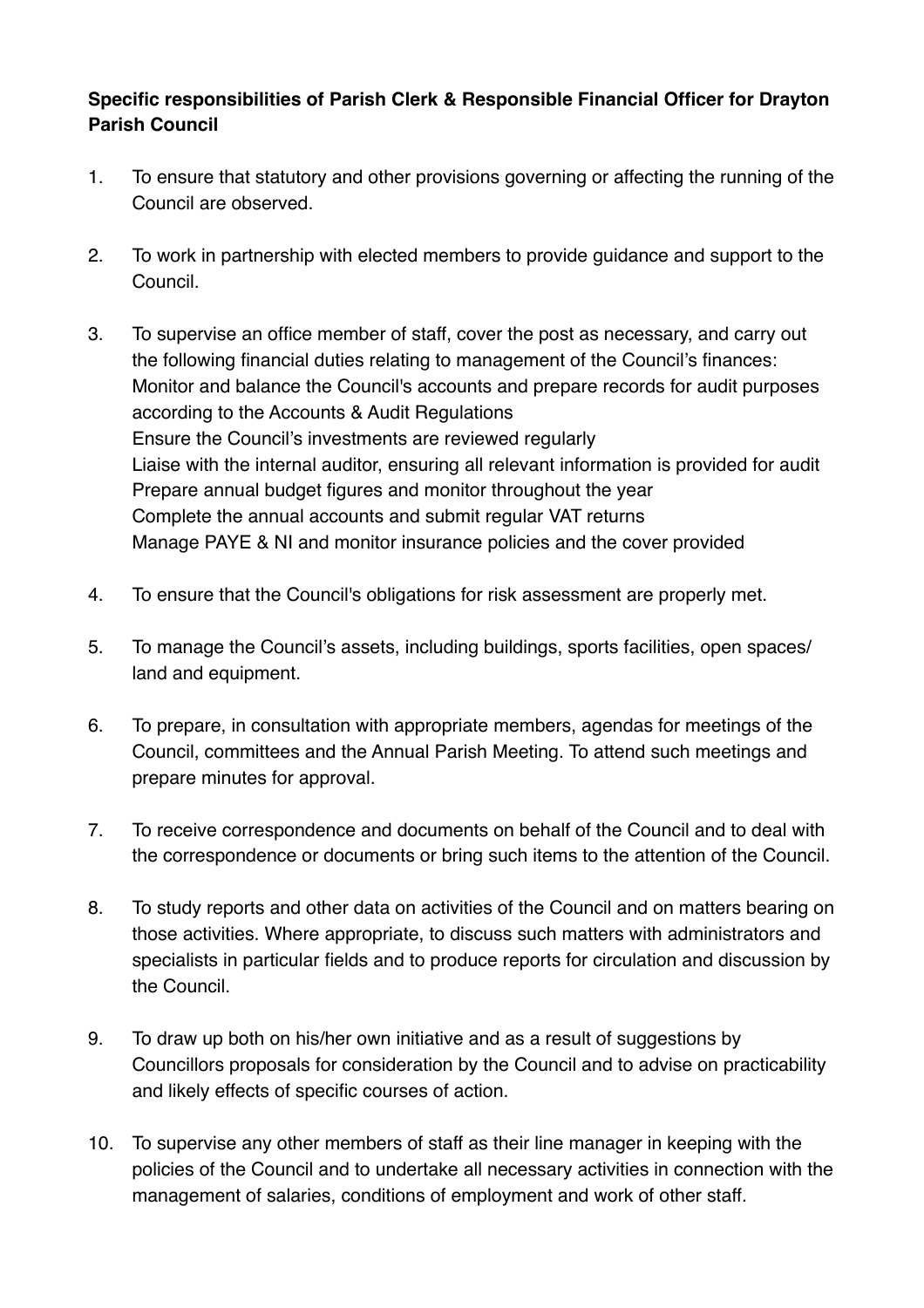## **Specific responsibilities of Parish Clerk & Responsible Financial Officer for Drayton Parish Council**

- 1. To ensure that statutory and other provisions governing or affecting the running of the Council are observed.
- 2. To work in partnership with elected members to provide guidance and support to the Council.
- 3. To supervise an office member of staff, cover the post as necessary, and carry out the following financial duties relating to management of the Council's finances: Monitor and balance the Council's accounts and prepare records for audit purposes according to the Accounts & Audit Regulations Ensure the Council's investments are reviewed regularly Liaise with the internal auditor, ensuring all relevant information is provided for audit Prepare annual budget figures and monitor throughout the year Complete the annual accounts and submit regular VAT returns Manage PAYE & NI and monitor insurance policies and the cover provided
- 4. To ensure that the Council's obligations for risk assessment are properly met.
- 5. To manage the Council's assets, including buildings, sports facilities, open spaces/ land and equipment.
- 6. To prepare, in consultation with appropriate members, agendas for meetings of the Council, committees and the Annual Parish Meeting. To attend such meetings and prepare minutes for approval.
- 7. To receive correspondence and documents on behalf of the Council and to deal with the correspondence or documents or bring such items to the attention of the Council.
- 8. To study reports and other data on activities of the Council and on matters bearing on those activities. Where appropriate, to discuss such matters with administrators and specialists in particular fields and to produce reports for circulation and discussion by the Council.
- 9. To draw up both on his/her own initiative and as a result of suggestions by Councillors proposals for consideration by the Council and to advise on practicability and likely effects of specific courses of action.
- 10. To supervise any other members of staff as their line manager in keeping with the policies of the Council and to undertake all necessary activities in connection with the management of salaries, conditions of employment and work of other staff.